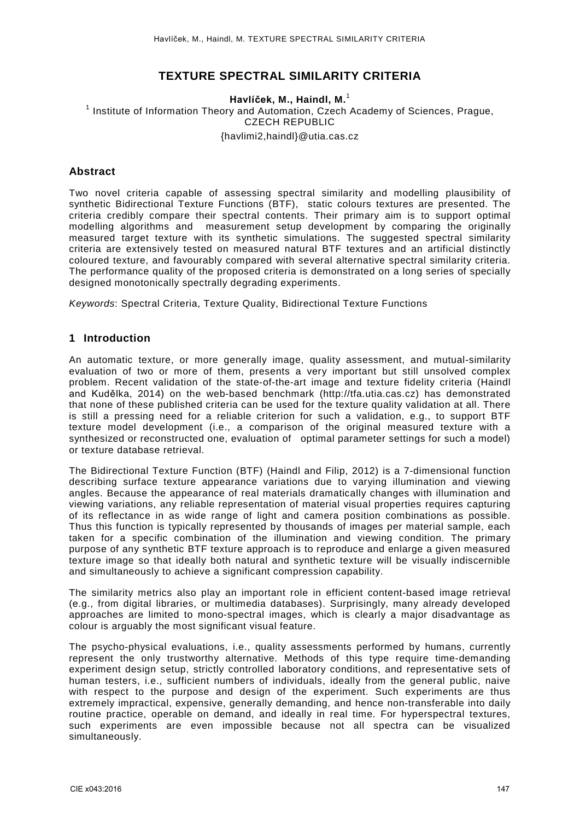# **TEXTURE SPECTRAL SIMILARITY CRITERIA**

### **Havlíček, M., Haindl, M.**<sup>1</sup>

<sup>1</sup> Institute of Information Theory and Automation, Czech Academy of Sciences, Prague, CZECH REPUBLIC [{havlimi2,haindl}@utia.cas.cz](mailto:havlimi2@utia.cas.cz)

## **Abstract**

Two novel criteria capable of assessing spectral similarity and modelling plausibility of synthetic Bidirectional Texture Functions (BTF), static colours textures are presented. The criteria credibly compare their spectral contents. Their primary aim is to support optimal modelling algorithms and measurement setup development by comparing the originally measured target texture with its synthetic simulations. The suggested spectral similarity criteria are extensively tested on measured natural BTF textures and an artificial distinctly coloured texture, and favourably compared with several alternative spectral similarity criteria. The performance quality of the proposed criteria is demonstrated on a long series of specially designed monotonically spectrally degrading experiments.

*Keywords*: Spectral Criteria, Texture Quality, Bidirectional Texture Functions

## **1 Introduction**

An automatic texture, or more generally image, quality assessment, and mutual-similarity evaluation of two or more of them, presents a very important but still unsolved complex problem. Recent validation of the state-of-the-art image and texture fidelity criteria (Haindl and Kudělka, 2014) on the web-based benchmark (http://tfa.utia.cas.cz) has demonstrated that none of these published criteria can be used for the texture quality validation at all. There is still a pressing need for a reliable criterion for such a validation, e.g., to support BTF texture model development (i.e., a comparison of the original measured texture with a synthesized or reconstructed one, evaluation of optimal parameter settings for such a model) or texture database retrieval.

The Bidirectional Texture Function (BTF) (Haindl and Filip, 2012) is a 7-dimensional function describing surface texture appearance variations due to varying illumination and viewing angles. Because the appearance of real materials dramatically changes with illumination and viewing variations, any reliable representation of material visual properties requires capturing of its reflectance in as wide range of light and camera position combinations as possible. Thus this function is typically represented by thousands of images per material sample, each taken for a specific combination of the illumination and viewing condition. The primary purpose of any synthetic BTF texture approach is to reproduce and enlarge a given measured texture image so that ideally both natural and synthetic texture will be visually indiscernible and simultaneously to achieve a significant compression capability.

The similarity metrics also play an important role in efficient content-based image retrieval (e.g., from digital libraries, or multimedia databases). Surprisingly, many already developed approaches are limited to mono-spectral images, which is clearly a major disadvantage as colour is arguably the most significant visual feature.

The psycho-physical evaluations, i.e., quality assessments performed by humans, currently represent the only trustworthy alternative. Methods of this type require time-demanding experiment design setup, strictly controlled laboratory conditions, and representative sets of human testers, i.e., sufficient numbers of individuals, ideally from the general public, naive with respect to the purpose and design of the experiment. Such experiments are thus extremely impractical, expensive, generally demanding, and hence non-transferable into daily routine practice, operable on demand, and ideally in real time. For hyperspectral textures, such experiments are even impossible because not all spectra can be visualized simultaneously.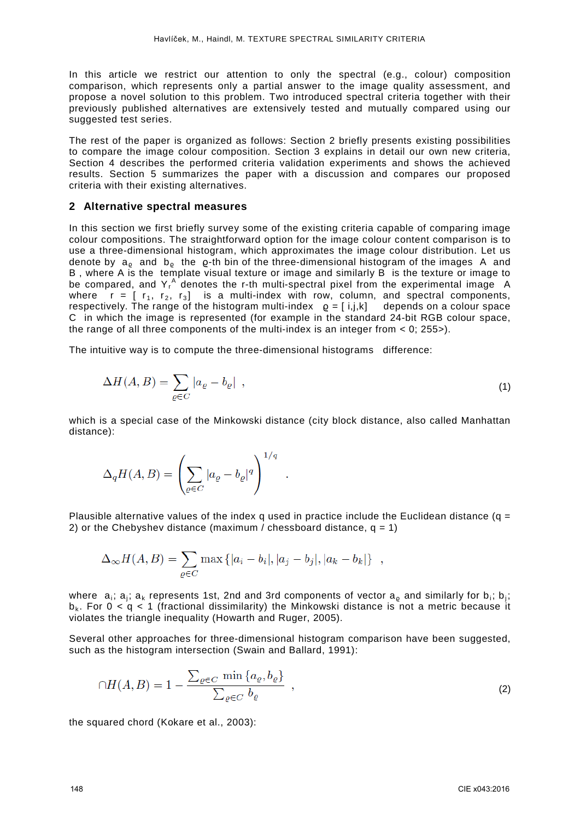In this article we restrict our attention to only the spectral (e.g., colour) composition comparison, which represents only a partial answer to the image quality assessment, and propose a novel solution to this problem. Two introduced spectral criteria together with their previously published alternatives are extensively tested and mutually compared using our suggested test series.

The rest of the paper is organized as follows: Section 2 briefly presents existing possibilities to compare the image colour composition. Section 3 explains in detail our own new criteria, Section 4 describes the performed criteria validation experiments and shows the achieved results. Section 5 summarizes the paper with a discussion and compares our proposed criteria with their existing alternatives.

#### **2 Alternative spectral measures**

In this section we first briefly survey some of the existing criteria capable of comparing image colour compositions. The straightforward option for the image colour content comparison is to use a three-dimensional histogram, which approximates the image colour distribution. Let us denote by  $a_0$  and  $b_0$  the  $\rho$ -th bin of the three-dimensional histogram of the images A and B , where A is the template visual texture or image and similarly B is the texture or image to be compared, and  $Y_f^A$  denotes the r-th multi-spectral pixel from the experimental image A where  $r = [r_1, r_2, r_3]$  is a multi-index with row, column, and spectral components, respectively. The range of the histogram multi-index  $\rho = [i,j,k]$  depends on a colour space C in which the image is represented (for example in the standard 24-bit RGB colour space, the range of all three components of the multi-index is an integer from  $\lt 0$ : 255 $\gt$ ).

The intuitive way is to compute the three-dimensional histograms difference:

$$
\Delta H(A, B) = \sum_{\varrho \in C} |a_{\varrho} - b_{\varrho}| \tag{1}
$$

which is a special case of the Minkowski distance (city block distance, also called Manhattan distance):

$$
\Delta_q H(A,B) = \left(\sum_{\varrho \in C} |a_\varrho - b_\varrho|^q\right)^{1/q} .
$$

Plausible alternative values of the index q used in practice include the Euclidean distance (q = 2) or the Chebyshev distance (maximum / chessboard distance,  $q = 1$ )

$$
\Delta_{\infty} H(A, B) = \sum_{\varrho \in C} \max \{|a_i - b_i|, |a_j - b_j|, |a_k - b_k|\},
$$

where  $a_i$ ;  $a_i$ ;  $a_k$  represents 1st, 2nd and 3rd components of vector  $a_0$  and similarly for  $b_i$ ;  $b_i$ ;  $b_k$ . For  $0 < a < 1$  (fractional dissimilarity) the Minkowski distance is not a metric because it violates the triangle inequality (Howarth and Ruger, 2005).

Several other approaches for three-dimensional histogram comparison have been suggested, such as the histogram intersection (Swain and Ballard, 1991):

$$
\cap H(A,B) = 1 - \frac{\sum_{\varrho \in C} \min \{a_{\varrho}, b_{\varrho}\}}{\sum_{\varrho \in C} b_{\varrho}}, \qquad (2)
$$

the squared chord (Kokare et al., 2003):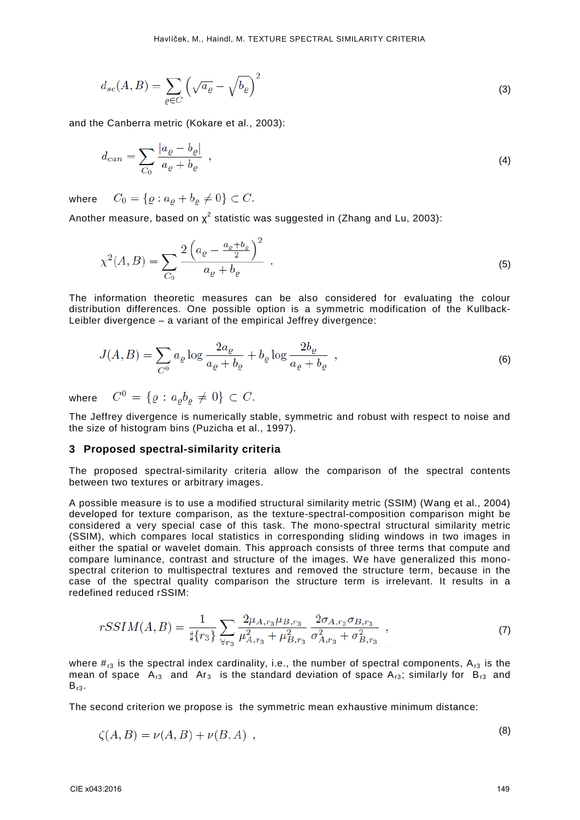$$
d_{sc}(A,B) = \sum_{\varrho \in C} \left( \sqrt{a_{\varrho}} - \sqrt{b_{\varrho}} \right)^2 \tag{3}
$$

and the Canberra metric (Kokare et al., 2003):

$$
d_{can} = \sum_{C_0} \frac{|a_{\varrho} - b_{\varrho}|}{a_{\varrho} + b_{\varrho}} \tag{4}
$$

 $C_0 = \{ \rho : a_o + b_o \neq 0 \} \subset C.$ where

Another measure, based on  $\chi^2$  statistic was suggested in (Zhang and Lu, 2003):

$$
\chi^2(A,B) = \sum_{C_0} \frac{2\left(a_\varrho - \frac{a_\varrho + b_\varrho}{2}\right)^2}{a_\varrho + b_\varrho} \ . \tag{5}
$$

The information theoretic measures can be also considered for evaluating the colour distribution differences. One possible option is a symmetric modification of the Kullback-Leibler divergence – a variant of the empirical Jeffrey divergence:

$$
J(A,B) = \sum_{C^0} a_\varrho \log \frac{2a_\varrho}{a_\varrho + b_\varrho} + b_\varrho \log \frac{2b_\varrho}{a_\varrho + b_\varrho} \tag{6}
$$

where

$$
C^0 = \{ \varrho : a_{\varrho} b_{\varrho} \neq 0 \} \subset C.
$$

The Jeffrey divergence is numerically stable, symmetric and robust with respect to noise and the size of histogram bins (Puzicha et al., 1997).

#### **3 Proposed spectral-similarity criteria**

The proposed spectral-similarity criteria allow the comparison of the spectral contents between two textures or arbitrary images.

A possible measure is to use a modified structural similarity metric (SSIM) (Wang et al., 2004) developed for texture comparison, as the texture-spectral-composition comparison might be considered a very special case of this task. The mono-spectral structural similarity metric (SSIM), which compares local statistics in corresponding sliding windows in two images in either the spatial or wavelet domain. This approach consists of three terms that compute and compare luminance, contrast and structure of the images. We have generalized this monospectral criterion to multispectral textures and removed the structure term, because in the case of the spectral quality comparison the structure term is irrelevant. It results in a redefined reduced rSSIM:

$$
rSSIM(A,B) = \frac{1}{\sharp\{r_3\}} \sum_{\forall r_3} \frac{2\mu_{A,r_3} \mu_{B,r_3}}{\mu_{A,r_3}^2 + \mu_{B,r_3}^2} \frac{2\sigma_{A,r_3} \sigma_{B,r_3}}{\sigma_{A,r_3}^2 + \sigma_{B,r_3}^2} ,
$$
(7)

where  $\#_{r3}$  is the spectral index cardinality, i.e., the number of spectral components,  $A_{r3}$  is the mean of space  $A_{r3}$  and  $Ar_3$  is the standard deviation of space  $A_{r3}$ ; similarly for  $B_{r3}$  and  $B_{r3}$ .

The second criterion we propose is the symmetric mean exhaustive minimum distance:

$$
\zeta(A,B) = \nu(A,B) + \nu(B,A) \tag{8}
$$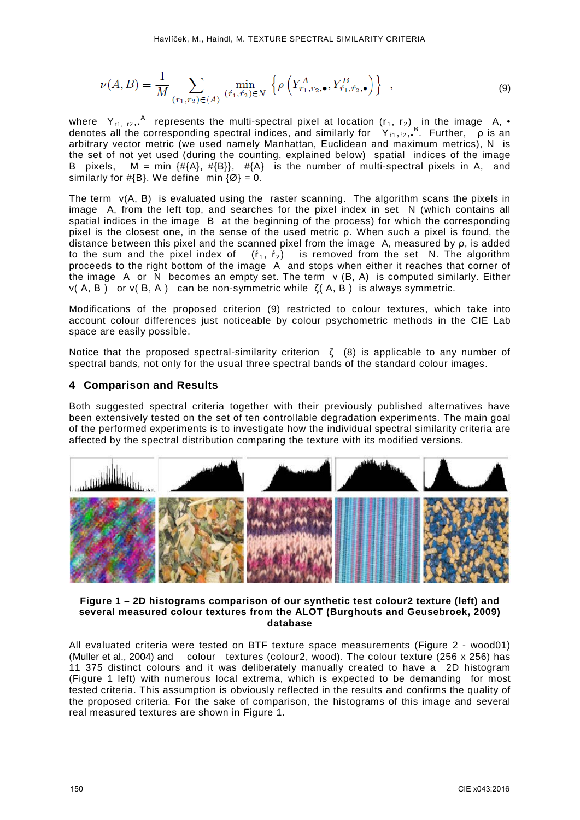$$
\nu(A,B) = \frac{1}{M} \sum_{(r_1,r_2) \in \langle A \rangle} \min_{(\dot{r}_1, \dot{r}_2) \in N} \left\{ \rho \left( Y_{r_1,r_2,\bullet}^A, Y_{\dot{r}_1, \dot{r}_2,\bullet}^B \right) \right\} ,
$$
\n(9)

where  $Y_{r1, r2}$ ,  $^{A}$  represents the multi-spectral pixel at location (r<sub>1</sub>, r<sub>2</sub>) in the image A, • denotes all the corresponding spectral indices, and similarly for  $Y_{f1},f2}$ ,  $B$ . Further,  $\varphi$  is an arbitrary vector metric (we used namely Manhattan, Euclidean and maximum metrics), N is the set of not yet used (during the counting, explained below) spatial indices of the image B pixels,  $M = min$   $\{ \# \{A\}, \# \{B\} \}$ ,  $\# \{A\}$  is the number of multi-spectral pixels in A, and similarly for  $\#\{B\}$ . We define min  $\{\emptyset\} = 0$ .

The term  $v(A, B)$  is evaluated using the raster scanning. The algorithm scans the pixels in image A, from the left top, and searches for the pixel index in set N (which contains all spatial indices in the image B at the beginning of the process) for which the corresponding pixel is the closest one, in the sense of the used metric ρ. When such a pixel is found, the distance between this pixel and the scanned pixel from the image A, measured by  $\rho$ , is added to the sum and the pixel index of  $(f_1, f_2)$  is removed from the set N. The algorithm is removed from the set  $N$ . The algorithm proceeds to the right bottom of the image A and stops when either it reaches that corner of the image A or N becomes an empty set. The term ν (B, A) is computed similarly. Either ν( A, B ) or ν( B, A ) can be non-symmetric while ζ( A, B ) is always symmetric.

Modifications of the proposed criterion (9) restricted to colour textures, which take into account colour differences just noticeable by colour psychometric methods in the CIE Lab space are easily possible.

Notice that the proposed spectral-similarity criterion  $\zeta$  (8) is applicable to any number of spectral bands, not only for the usual three spectral bands of the standard colour images.

## **4 Comparison and Results**

Both suggested spectral criteria together with their previously published alternatives have been extensively tested on the set of ten controllable degradation experiments. The main goal of the performed experiments is to investigate how the individual spectral similarity criteria are affected by the spectral distribution comparing the texture with its modified versions.



#### **Figure 1 – 2D histograms comparison of our synthetic test colour2 texture (left) and several measured colour textures from the ALOT (Burghouts and Geusebroek, 2009) database**

All evaluated criteria were tested on BTF texture space measurements (Figure 2 - wood01) (Muller et al., 2004) and colour textures (colour2, wood). The colour texture (256 x 256) has 11 375 distinct colours and it was deliberately manually created to have a 2D histogram (Figure 1 left) with numerous local extrema, which is expected to be demanding for most tested criteria. This assumption is obviously reflected in the results and confirms the quality of the proposed criteria. For the sake of comparison, the histograms of this image and several real measured textures are shown in Figure 1.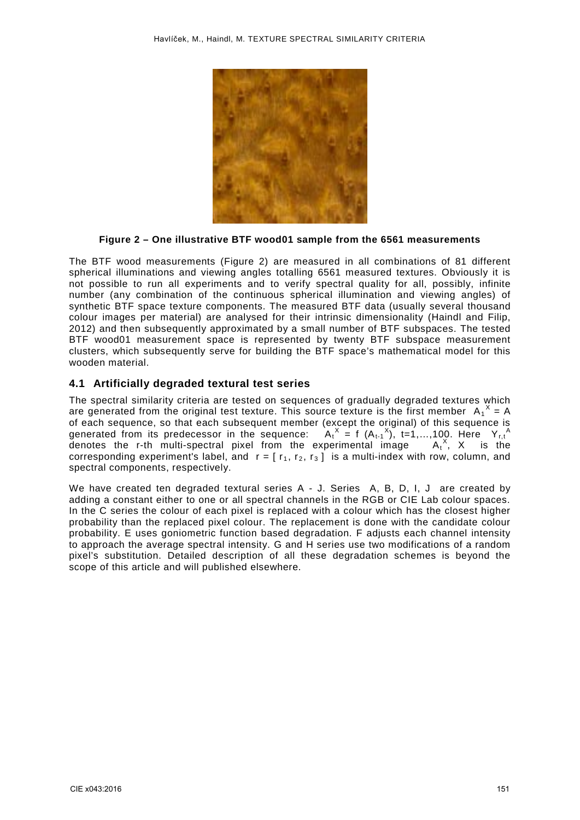

**Figure 2 – One illustrative BTF wood01 sample from the 6561 measurements**

The BTF wood measurements (Figure 2) are measured in all combinations of 81 different spherical illuminations and viewing angles totalling 6561 measured textures. Obviously it is not possible to run all experiments and to verify spectral quality for all, possibly, infinite number (any combination of the continuous spherical illumination and viewing angles) of synthetic BTF space texture components. The measured BTF data (usually several thousand colour images per material) are analysed for their intrinsic dimensionality (Haindl and Filip, 2012) and then subsequently approximated by a small number of BTF subspaces. The tested BTF wood01 measurement space is represented by twenty BTF subspace measurement clusters, which subsequently serve for building the BTF space's mathematical model for this wooden material.

### **4.1 Artificially degraded textural test series**

The spectral similarity criteria are tested on sequences of gradually degraded textures which are generated from the original test texture. This source texture is the first member  $A_1^X = A$ of each sequence, so that each subsequent member (except the original) of this sequence is generated from its predecessor in the sequence:  $A_t^X = f(A_{t-1}^X)$ , t=1,...,100. Here  $Y_{t,t}^A$ denotes the r-th multi-spectral pixel from the experimental image  $A_t^X$ , X is the corresponding experiment's label, and  $r = [r_1, r_2, r_3]$  is a multi-index with row, column, and spectral components, respectively.

We have created ten degraded textural series A - J. Series A, B, D, I, J are created by adding a constant either to one or all spectral channels in the RGB or CIE Lab colour spaces. In the C series the colour of each pixel is replaced with a colour which has the closest higher probability than the replaced pixel colour. The replacement is done with the candidate colour probability. E uses goniometric function based degradation. F adjusts each channel intensity to approach the average spectral intensity. G and H series use two modifications of a random pixel's substitution. Detailed description of all these degradation schemes is beyond the scope of this article and will published elsewhere.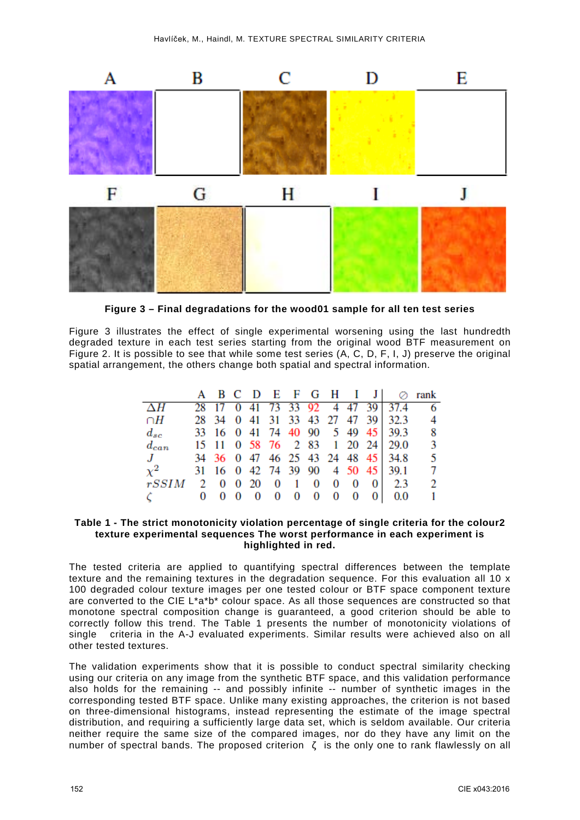

**Figure 3 – Final degradations for the wood01 sample for all ten test series**

Figure 3 illustrates the effect of single experimental worsening using the last hundredth degraded texture in each test series starting from the original wood BTF measurement on Figure 2. It is possible to see that while some test series (A, C, D, F, I, J) preserve the original spatial arrangement, the others change both spatial and spectral information.

|           |            |  |                                               |  |  | A B C D E F G H I J  ⊘ rank       |                |
|-----------|------------|--|-----------------------------------------------|--|--|-----------------------------------|----------------|
|           |            |  |                                               |  |  | 28 17 0 41 73 33 92 4 47 39 37.4  |                |
| $\cap H$  |            |  |                                               |  |  | 28 34 0 41 31 33 43 27 47 39 32.3 | $\overline{4}$ |
| $d_{sc}$  |            |  |                                               |  |  | 33 16 0 41 74 40 90 5 49 45 39.3  | - 8            |
| $d_{can}$ |            |  |                                               |  |  | 15 11 0 58 76 2 83 1 20 24 29.0   | -3             |
| J         |            |  |                                               |  |  | 34 36 0 47 46 25 43 24 48 45 34.8 | -5             |
| $\chi^2$  |            |  |                                               |  |  | 31 16 0 42 74 39 90 4 50 45 39.1  | -7             |
| rSSIM     |            |  | 2 0 0 20 0 1 0 0 0                            |  |  | 012.3                             |                |
|           | $0\quad 0$ |  | $0\quad 0\quad 0\quad 0\quad 0\quad 0\quad 0$ |  |  | 010.0                             |                |

#### **Table 1 - The strict monotonicity violation percentage of single criteria for the colour2 texture experimental sequences The worst performance in each experiment is highlighted in red.**

The tested criteria are applied to quantifying spectral differences between the template texture and the remaining textures in the degradation sequence. For this evaluation all 10 x 100 degraded colour texture images per one tested colour or BTF space component texture are converted to the CIE L\*a\*b\* colour space. As all those sequences are constructed so that monotone spectral composition change is guaranteed, a good criterion should be able to correctly follow this trend. The Table 1 presents the number of monotonicity violations of single criteria in the A-J evaluated experiments. Similar results were achieved also on all other tested textures.

The validation experiments show that it is possible to conduct spectral similarity checking using our criteria on any image from the synthetic BTF space, and this validation performance also holds for the remaining -- and possibly infinite -- number of synthetic images in the corresponding tested BTF space. Unlike many existing approaches, the criterion is not based on three-dimensional histograms, instead representing the estimate of the image spectral distribution, and requiring a sufficiently large data set, which is seldom available. Our criteria neither require the same size of the compared images, nor do they have any limit on the number of spectral bands. The proposed criterion  $\zeta$  is the only one to rank flawlessly on all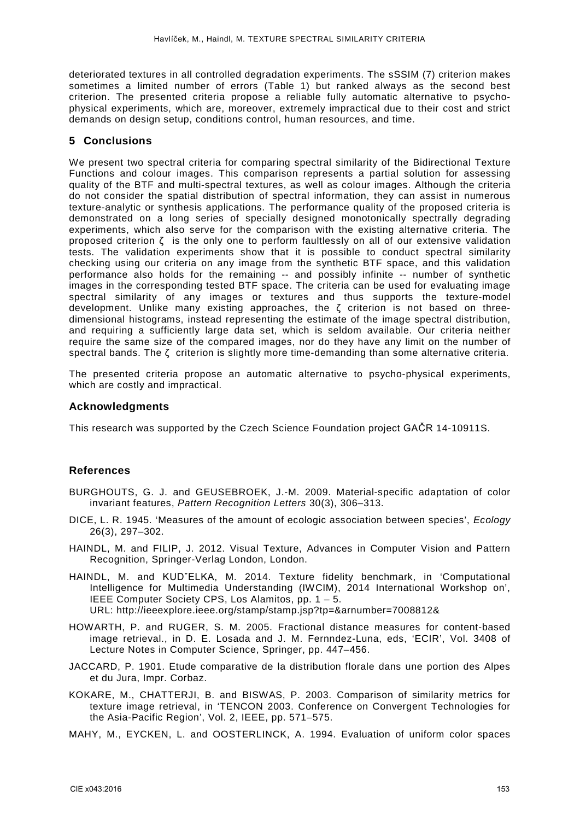deteriorated textures in all controlled degradation experiments. The sSSIM (7) criterion makes sometimes a limited number of errors (Table 1) but ranked always as the second best criterion. The presented criteria propose a reliable fully automatic alternative to psychophysical experiments, which are, moreover, extremely impractical due to their cost and strict demands on design setup, conditions control, human resources, and time.

## **5 Conclusions**

We present two spectral criteria for comparing spectral similarity of the Bidirectional Texture Functions and colour images. This comparison represents a partial solution for assessing quality of the BTF and multi-spectral textures, as well as colour images. Although the criteria do not consider the spatial distribution of spectral information, they can assist in numerous texture-analytic or synthesis applications. The performance quality of the proposed criteria is demonstrated on a long series of specially designed monotonically spectrally degrading experiments, which also serve for the comparison with the existing alternative criteria. The proposed criterion ζ is the only one to perform faultlessly on all of our extensive validation tests. The validation experiments show that it is possible to conduct spectral similarity checking using our criteria on any image from the synthetic BTF space, and this validation performance also holds for the remaining -- and possibly infinite -- number of synthetic images in the corresponding tested BTF space. The criteria can be used for evaluating image spectral similarity of any images or textures and thus supports the texture-model development. Unlike many existing approaches, the  $\zeta$  criterion is not based on threedimensional histograms, instead representing the estimate of the image spectral distribution, and requiring a sufficiently large data set, which is seldom available. Our criteria neither require the same size of the compared images, nor do they have any limit on the number of spectral bands. The ζ criterion is slightly more time-demanding than some alternative criteria.

The presented criteria propose an automatic alternative to psycho-physical experiments, which are costly and impractical.

### **Acknowledgments**

This research was supported by the Czech Science Foundation project GAČR 14-10911S.

## **References**

- BURGHOUTS, G. J. and GEUSEBROEK, J.-M. 2009. Material-specific adaptation of color invariant features, *Pattern Recognition Letters* 30(3), 306–313.
- DICE, L. R. 1945. 'Measures of the amount of ecologic association between species', *Ecology* 26(3), 297–302.
- HAINDL, M. and FILIP, J. 2012. Visual Texture, Advances in Computer Vision and Pattern Recognition, Springer-Verlag London, London.
- HAINDL, M. and KUDˇELKA, M. 2014. Texture fidelity benchmark, in 'Computational Intelligence for Multimedia Understanding (IWCIM), 2014 International Workshop on', IEEE Computer Society CPS, Los Alamitos, pp. 1 – 5. URL: http://ieeexplore.ieee.org/stamp/stamp.jsp?tp=&arnumber=7008812&
- HOWARTH, P. and RUGER, S. M. 2005. Fractional distance measures for content-based image retrieval., in D. E. Losada and J. M. Fernndez-Luna, eds, 'ECIR', Vol. 3408 of Lecture Notes in Computer Science, Springer, pp. 447–456.
- JACCARD, P. 1901. Etude comparative de la distribution florale dans une portion des Alpes et du Jura, Impr. Corbaz.
- KOKARE, M., CHATTERJI, B. and BISWAS, P. 2003. Comparison of similarity metrics for texture image retrieval, in 'TENCON 2003. Conference on Convergent Technologies for the Asia-Pacific Region', Vol. 2, IEEE, pp. 571–575.
- MAHY, M., EYCKEN, L. and OOSTERLINCK, A. 1994. Evaluation of uniform color spaces